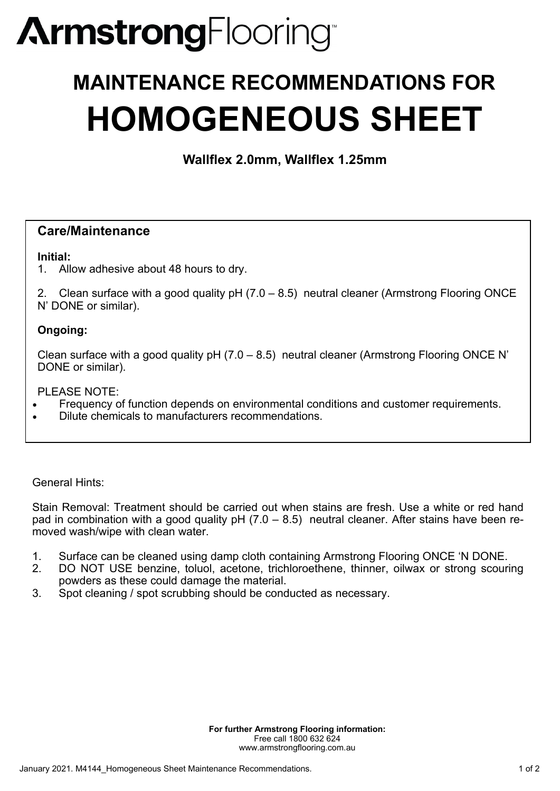# **ArmstrongFlooring**

## **MAINTENANCE RECOMMENDATIONS FOR HOMOGENEOUS SHEET**

**Wallflex 2.0mm, Wallflex 1.25mm** 

## **Care/Maintenance**

### **Initial:**

1. Allow adhesive about 48 hours to dry.

2. Clean surface with a good quality pH (7.0 – 8.5) neutral cleaner (Armstrong Flooring ONCE N' DONE or similar).

## **Ongoing:**

Clean surface with a good quality pH (7.0 – 8.5) neutral cleaner (Armstrong Flooring ONCE N' DONE or similar).

PLEASE NOTE:

- Frequency of function depends on environmental conditions and customer requirements.
- Dilute chemicals to manufacturers recommendations.

General Hints:

Stain Removal: Treatment should be carried out when stains are fresh. Use a white or red hand pad in combination with a good quality  $pH (7.0 - 8.5)$  neutral cleaner. After stains have been removed wash/wipe with clean water.

- 1. Surface can be cleaned using damp cloth containing Armstrong Flooring ONCE 'N DONE.
- 2. DO NOT USE benzine, toluol, acetone, trichloroethene, thinner, oilwax or strong scouring powders as these could damage the material.
- 3. Spot cleaning / spot scrubbing should be conducted as necessary.

**For further Armstrong Flooring information:**  Free call 1800 632 624 www.armstrongflooring.com.au